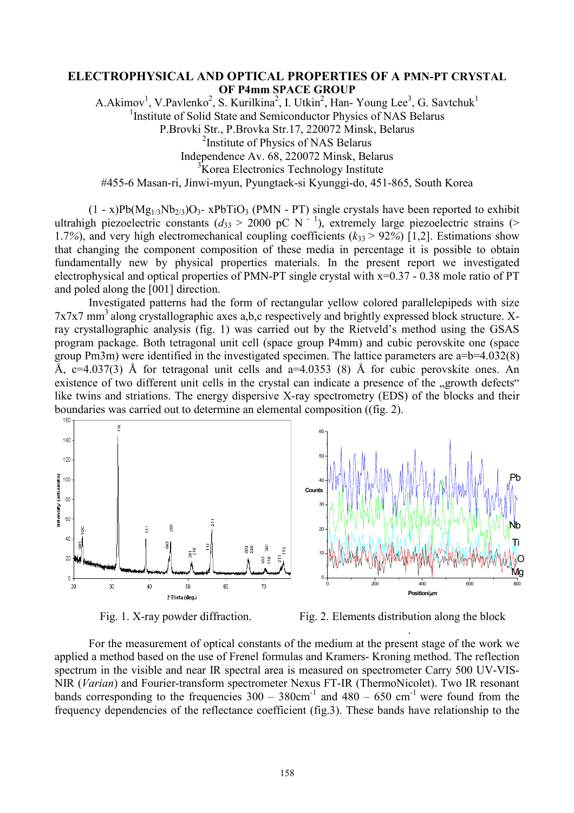## **ELECTROPHYSICAL AND OPTICAL PROPERTIES OF A PMN-PT CRYSTAL OF P4mm SPACE GROUP**

A.Akimov<sup>1</sup>, V.Pavlenko<sup>2</sup>, S. Kurilkina<sup>2</sup>, I. Utkin<sup>2</sup>, Han- Young Lee<sup>3</sup>, G. Savtchuk<sup>1</sup> <sup>1</sup> Institute of Solid State and Semiconductor Physics of NAS Belarus P.Brovki Str., P.Brovka Str.17, 220072 Minsk, Belarus <sup>2</sup> Institute of Physics of NAS Belarus Independence Av. 68, 220072 Minsk, Belarus <sup>3</sup>Korea Electronics Technology Institute #455-6 Masan-ri, Jinwi-myun, Pyungtaek-si Kyunggi-do, 451-865, South Korea

 $(1 - x)Pb(Mg_{1/3}Nb_{2/3})O_3$ - x $PbTiO_3$  (PMN - PT) single crystals have been reported to exhibit ultrahigh piezoelectric constants  $(d_{33} > 2000 \text{ pC N}^{-1})$ , extremely large piezoelectric strains (> 1.7%), and very high electromechanical coupling coefficients  $(k_{33} > 92\%)$  [1,2]. Estimations show that changing the component composition of these media in percentage it is possible to obtain fundamentally new by physical properties materials. In the present report we investigated electrophysical and optical properties of PMN-PT single crystal with x=0.37 - 0.38 mole ratio of PT and poled along the [001] direction.

Investigated patterns had the form of rectangular yellow colored parallelepipeds with size  $7x7x7$  mm<sup>3</sup> along crystallographic axes a,b,c respectively and brightly expressed block structure. Xray crystallographic analysis (fig. 1) was carried out by the Rietveld's method using the GSAS program package. Both tetragonal unit cell (space group P4mm) and cubic perovskite one (space group Pm3m) were identified in the investigated specimen. The lattice parameters are a=b=4.032(8) Å,  $c=4.037(3)$  Å for tetragonal unit cells and  $a=4.0353(8)$  Å for cubic perovskite ones. An existence of two different unit cells in the crystal can indicate a presence of the "growth defects" like twins and striations. The energy dispersive X-ray spectrometry (EDS) of the blocks and their boundaries was carried out to determine an elemental composition ((fig. 2).





Fig. 1. X-ray powder diffraction. Fig. 2. Elements distribution along the block

.

For the measurement of optical constants of the medium at the present stage of the work we applied a method based on the use of Frenel formulas and Kramers- Kroning method. The reflection spectrum in the visible and near IR spectral area is measured on spectrometer Carry 500 UV-VIS-NIR (*Varian*) and Fourier-transform spectrometer Nexus FT-IR (ThermoNicolet). Two IR resonant bands corresponding to the frequencies  $300 - 380$ cm<sup>-1</sup> and  $480 - 650$  cm<sup>-1</sup> were found from the frequency dependencies of the reflectance coefficient (fig.3). These bands have relationship to the